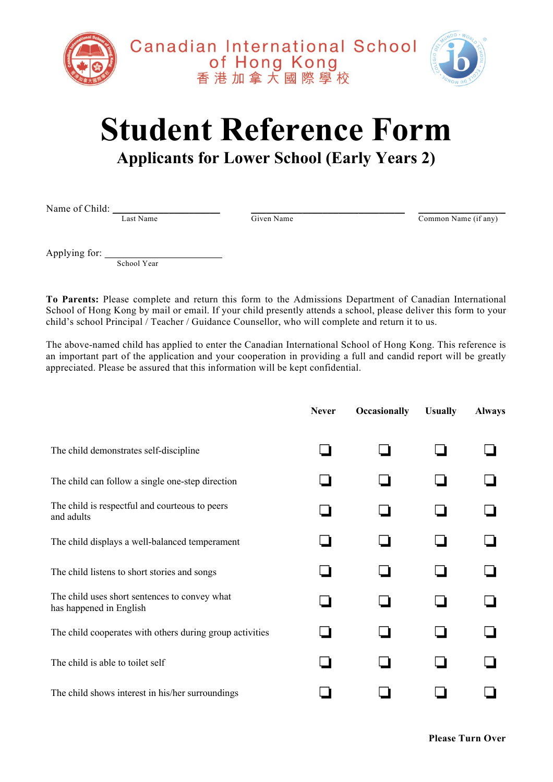

## **Student Reference Form**

## **Applicants for Lower School (Early Years 2)**

Name of Child:  $\frac{L_{\text{ast Name}}}{L_{\text{ast Name}}}$   $\frac{G}{\text{Given Name}}$ 

Common Name (if any)

Applying for: \_\_\_\_\_\_\_\_\_\_\_\_\_\_\_\_\_\_\_\_\_\_\_

School Year

**To Parents:** Please complete and return this form to the Admissions Department of Canadian International School of Hong Kong by mail or email. If your child presently attends a school, please deliver this form to your child's school Principal / Teacher / Guidance Counsellor, who will complete and return it to us.

The above-named child has applied to enter the Canadian International School of Hong Kong. This reference is an important part of the application and your cooperation in providing a full and candid report will be greatly appreciated. Please be assured that this information will be kept confidential.

|                                                                          | <b>Never</b> | <b>Occasionally</b> | <b>Usually</b> | <b>Always</b> |
|--------------------------------------------------------------------------|--------------|---------------------|----------------|---------------|
| The child demonstrates self-discipline                                   |              |                     |                |               |
| The child can follow a single one-step direction                         |              |                     |                |               |
| The child is respectful and courteous to peers<br>and adults             |              |                     |                |               |
| The child displays a well-balanced temperament                           |              |                     |                |               |
| The child listens to short stories and songs                             |              |                     |                |               |
| The child uses short sentences to convey what<br>has happened in English |              |                     |                |               |
| The child cooperates with others during group activities                 |              |                     |                |               |
| The child is able to toilet self                                         |              |                     |                |               |
| The child shows interest in his/her surroundings                         |              |                     |                |               |